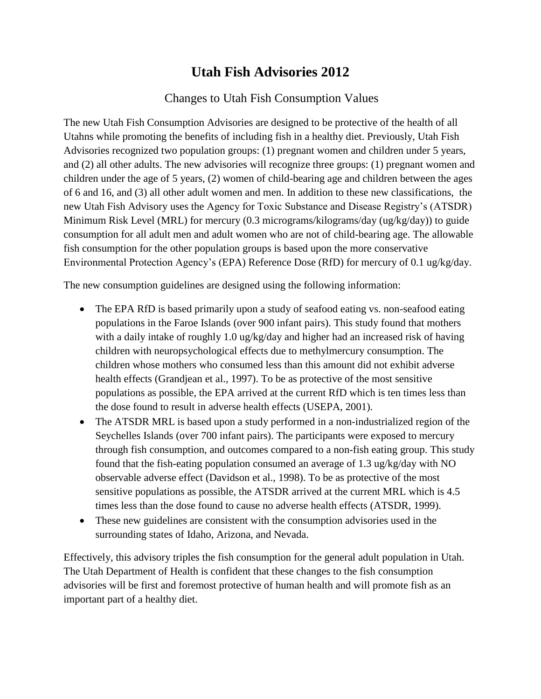## **Utah Fish Advisories 2012**

## Changes to Utah Fish Consumption Values

The new Utah Fish Consumption Advisories are designed to be protective of the health of all Utahns while promoting the benefits of including fish in a healthy diet. Previously, Utah Fish Advisories recognized two population groups: (1) pregnant women and children under 5 years, and (2) all other adults. The new advisories will recognize three groups: (1) pregnant women and children under the age of 5 years, (2) women of child-bearing age and children between the ages of 6 and 16, and (3) all other adult women and men. In addition to these new classifications, the new Utah Fish Advisory uses the Agency for Toxic Substance and Disease Registry's (ATSDR) Minimum Risk Level (MRL) for mercury (0.3 micrograms/kilograms/day (ug/kg/day)) to guide consumption for all adult men and adult women who are not of child-bearing age. The allowable fish consumption for the other population groups is based upon the more conservative Environmental Protection Agency's (EPA) Reference Dose (RfD) for mercury of 0.1 ug/kg/day.

The new consumption guidelines are designed using the following information:

- The EPA RfD is based primarily upon a study of seafood eating vs. non-seafood eating populations in the Faroe Islands (over 900 infant pairs). This study found that mothers with a daily intake of roughly 1.0 ug/kg/day and higher had an increased risk of having children with neuropsychological effects due to methylmercury consumption. The children whose mothers who consumed less than this amount did not exhibit adverse health effects (Grandjean et al., 1997). To be as protective of the most sensitive populations as possible, the EPA arrived at the current RfD which is ten times less than the dose found to result in adverse health effects (USEPA, 2001).
- The ATSDR MRL is based upon a study performed in a non-industrialized region of the Seychelles Islands (over 700 infant pairs). The participants were exposed to mercury through fish consumption, and outcomes compared to a non-fish eating group. This study found that the fish-eating population consumed an average of 1.3 ug/kg/day with NO observable adverse effect (Davidson et al., 1998). To be as protective of the most sensitive populations as possible, the ATSDR arrived at the current MRL which is 4.5 times less than the dose found to cause no adverse health effects (ATSDR, 1999).
- These new guidelines are consistent with the consumption advisories used in the surrounding states of Idaho, Arizona, and Nevada.

Effectively, this advisory triples the fish consumption for the general adult population in Utah. The Utah Department of Health is confident that these changes to the fish consumption advisories will be first and foremost protective of human health and will promote fish as an important part of a healthy diet.